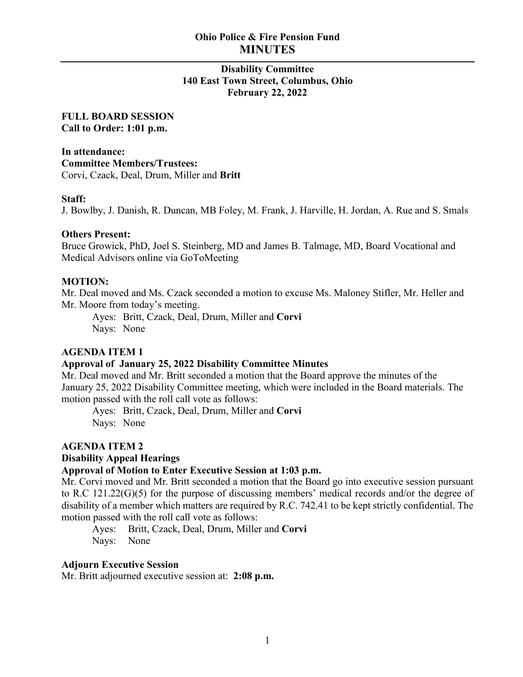# **Ohio Police & Fire Pension Fund MINUTES**

# **Disability Committee 140 East Town Street, Columbus, Ohio February 22, 2022**

**FULL BOARD SESSION Call to Order: 1:01 p.m.**

**In attendance: Committee Members/Trustees:** Corvi, Czack, Deal, Drum, Miller and **Britt**

### **Staff:**

J. Bowlby, J. Danish, R. Duncan, MB Foley, M. Frank, J. Harville, H. Jordan, A. Rue and S. Smals

#### **Others Present:**

Bruce Growick, PhD, Joel S. Steinberg, MD and James B. Talmage, MD, Board Vocational and Medical Advisors online via GoToMeeting

### **MOTION:**

Mr. Deal moved and Ms. Czack seconded a motion to excuse Ms. Maloney Stifler, Mr. Heller and Mr. Moore from today's meeting.

Ayes: Britt, Czack, Deal, Drum, Miller and **Corvi** Nays: None

# **AGENDA ITEM 1**

## **Approval of January 25, 2022 Disability Committee Minutes**

Mr. Deal moved and Mr. Britt seconded a motion that the Board approve the minutes of the January 25, 2022 Disability Committee meeting, which were included in the Board materials. The motion passed with the roll call vote as follows:

Ayes: Britt, Czack, Deal, Drum, Miller and **Corvi** Nays: None

## **AGENDA ITEM 2**

### **Disability Appeal Hearings**

### **Approval of Motion to Enter Executive Session at 1:03 p.m.**

Mr. Corvi moved and Mr. Britt seconded a motion that the Board go into executive session pursuant to R.C 121.22(G)(5) for the purpose of discussing members' medical records and/or the degree of disability of a member which matters are required by R.C. 742.41 to be kept strictly confidential. The motion passed with the roll call vote as follows:

Ayes: Britt, Czack, Deal, Drum, Miller and **Corvi** Nays: None

## **Adjourn Executive Session**

Mr. Britt adjourned executive session at: **2:08 p.m.**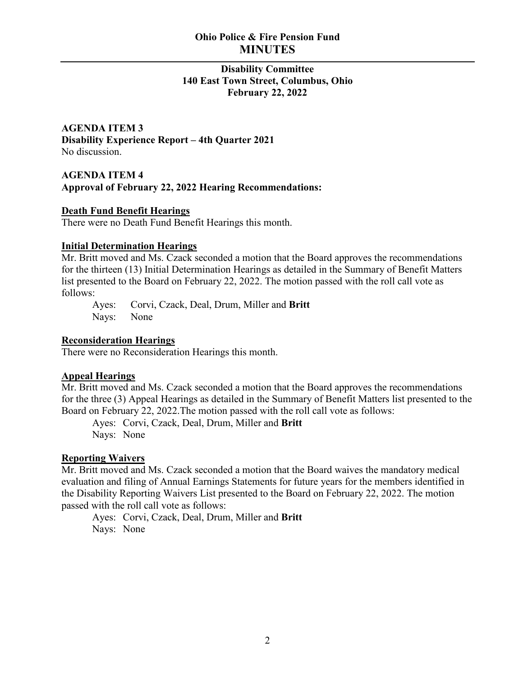# **Ohio Police & Fire Pension Fund MINUTES**

# **Disability Committee 140 East Town Street, Columbus, Ohio February 22, 2022**

**AGENDA ITEM 3 Disability Experience Report – 4th Quarter 2021** No discussion.

**AGENDA ITEM 4 Approval of February 22, 2022 Hearing Recommendations:**

## **Death Fund Benefit Hearings**

There were no Death Fund Benefit Hearings this month.

### **Initial Determination Hearings**

Mr. Britt moved and Ms. Czack seconded a motion that the Board approves the recommendations for the thirteen (13) Initial Determination Hearings as detailed in the Summary of Benefit Matters list presented to the Board on February 22, 2022. The motion passed with the roll call vote as follows:

Ayes: Corvi, Czack, Deal, Drum, Miller and **Britt** Nays: None

### **Reconsideration Hearings**

There were no Reconsideration Hearings this month.

## **Appeal Hearings**

Mr. Britt moved and Ms. Czack seconded a motion that the Board approves the recommendations for the three (3) Appeal Hearings as detailed in the Summary of Benefit Matters list presented to the Board on February 22, 2022.The motion passed with the roll call vote as follows:

Ayes: Corvi, Czack, Deal, Drum, Miller and **Britt** Nays: None

## **Reporting Waivers**

Mr. Britt moved and Ms. Czack seconded a motion that the Board waives the mandatory medical evaluation and filing of Annual Earnings Statements for future years for the members identified in the Disability Reporting Waivers List presented to the Board on February 22, 2022. The motion passed with the roll call vote as follows:

Ayes: Corvi, Czack, Deal, Drum, Miller and **Britt** Nays: None